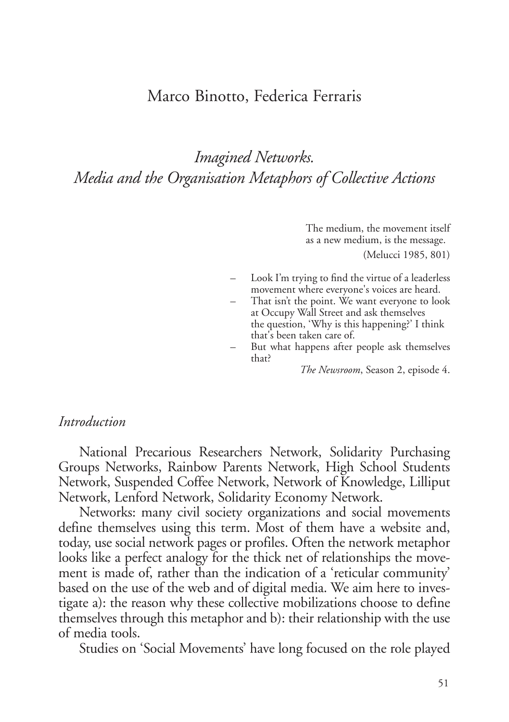## Marco Binotto, Federica Ferraris

# *Imagined Networks. Media and the Organisation Metaphors of Collective Actions*

The medium, the movement itself as a new medium, is the message.

(Melucci 1985, 801)

- Look I'm trying to find the virtue of a leaderless movement where everyone's voices are heard.
- That isn't the point. We want everyone to look at Occupy Wall Street and ask themselves the question, 'Why is this happening?' I think that's been taken care of.
- But what happens after people ask themselves that?

*The Newsroom*, Season 2, episode 4.

#### *Introduction*

National Precarious Researchers Network, Solidarity Purchasing Groups Networks, Rainbow Parents Network, High School Students Network, Suspended Coffee Network, Network of Knowledge, Lilliput Network, Lenford Network, Solidarity Economy Network.

Networks: many civil society organizations and social movements define themselves using this term. Most of them have a website and, today, use social network pages or profiles. Often the network metaphor looks like a perfect analogy for the thick net of relationships the movement is made of, rather than the indication of a 'reticular community' based on the use of the web and of digital media. We aim here to investigate a): the reason why these collective mobilizations choose to define themselves through this metaphor and b): their relationship with the use of media tools.

Studies on 'Social Movements' have long focused on the role played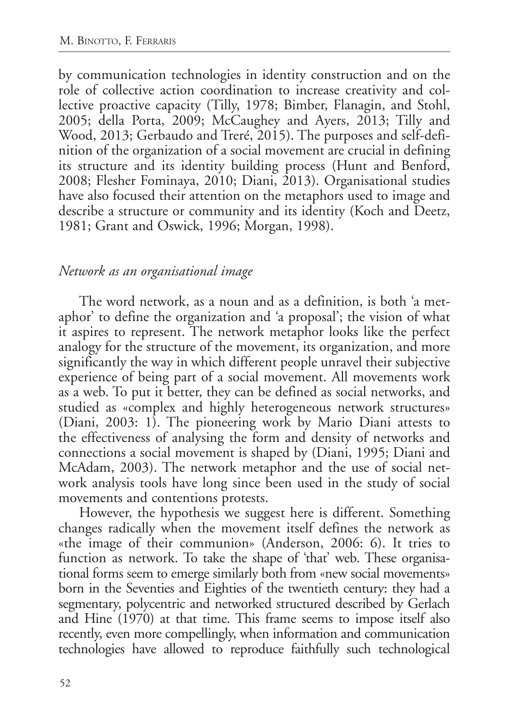by communication technologies in identity construction and on the role of collective action coordination to increase creativity and collective proactive capacity (Tilly, 1978; Bimber, Flanagin, and Stohl, 2005; della Porta, 2009; McCaughey and Ayers, 2013; Tilly and Wood, 2013; Gerbaudo and Treré, 2015). The purposes and self-definition of the organization of a social movement are crucial in defining its structure and its identity building process (Hunt and Benford, 2008; Flesher Fominaya, 2010; Diani, 2013). Organisational studies have also focused their attention on the metaphors used to image and describe a structure or community and its identity (Koch and Deetz, 1981; Grant and Oswick, 1996; Morgan, 1998).

### *Network as an organisational image*

The word network, as a noun and as a definition, is both 'a metaphor' to define the organization and 'a proposal'; the vision of what it aspires to represent. The network metaphor looks like the perfect analogy for the structure of the movement, its organization, and more significantly the way in which different people unravel their subjective experience of being part of a social movement. All movements work as a web. To put it better, they can be defined as social networks, and studied as «complex and highly heterogeneous network structures» (Diani, 2003: 1). The pioneering work by Mario Diani attests to the effectiveness of analysing the form and density of networks and connections a social movement is shaped by (Diani, 1995; Diani and McAdam, 2003). The network metaphor and the use of social network analysis tools have long since been used in the study of social movements and contentions protests.

However, the hypothesis we suggest here is different. Something changes radically when the movement itself defines the network as «the image of their communion» (Anderson, 2006: 6). It tries to function as network. To take the shape of 'that' web. These organisational forms seem to emerge similarly both from «new social movements» born in the Seventies and Eighties of the twentieth century: they had a segmentary, polycentric and networked structured described by Gerlach and Hine (1970) at that time. This frame seems to impose itself also recently, even more compellingly, when information and communication technologies have allowed to reproduce faithfully such technological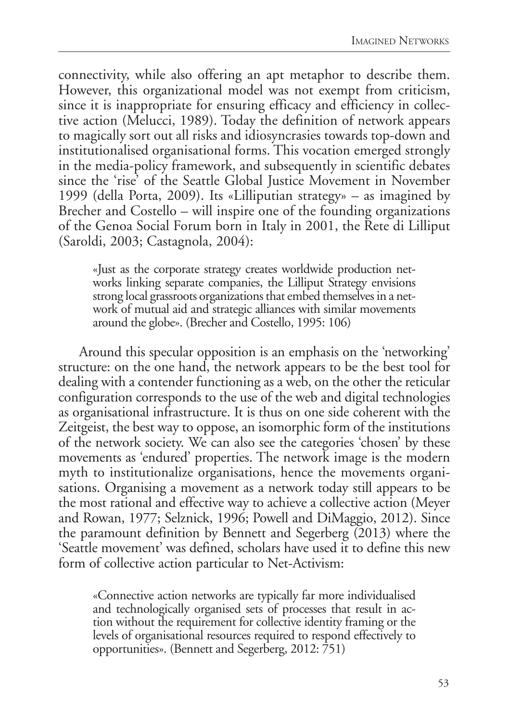connectivity, while also offering an apt metaphor to describe them. However, this organizational model was not exempt from criticism, since it is inappropriate for ensuring efficacy and efficiency in collective action (Melucci, 1989). Today the definition of network appears to magically sort out all risks and idiosyncrasies towards top-down and institutionalised organisational forms. This vocation emerged strongly in the media-policy framework, and subsequently in scientific debates since the 'rise' of the Seattle Global Justice Movement in November 1999 (della Porta, 2009). Its «Lilliputian strategy» – as imagined by Brecher and Costello – will inspire one of the founding organizations of the Genoa Social Forum born in Italy in 2001, the Rete di Lilliput (Saroldi, 2003; Castagnola, 2004):

«Just as the corporate strategy creates worldwide production net- works linking separate companies, the Lilliput Strategy envisions strong local grassroots organizations that embed themselves in a network of mutual aid and strategic alliances with similar movements around the globe». (Brecher and Costello, 1995: 106)

Around this specular opposition is an emphasis on the 'networking' structure: on the one hand, the network appears to be the best tool for dealing with a contender functioning as a web, on the other the reticular configuration corresponds to the use of the web and digital technologies as organisational infrastructure. It is thus on one side coherent with the Zeitgeist, the best way to oppose, an isomorphic form of the institutions of the network society. We can also see the categories 'chosen' by these movements as 'endured' properties. The network image is the modern myth to institutionalize organisations, hence the movements organisations. Organising a movement as a network today still appears to be the most rational and effective way to achieve a collective action (Meyer and Rowan, 1977; Selznick, 1996; Powell and DiMaggio, 2012). Since the paramount definition by Bennett and Segerberg (2013) where the 'Seattle movement' was defined, scholars have used it to define this new form of collective action particular to Net-Activism:

«Connective action networks are typically far more individualised and technologically organised sets of processes that result in ac- tion without the requirement for collective identity framing or the levels of organisational resources required to respond effectively to opportunities». (Bennett and Segerberg, 2012: 751)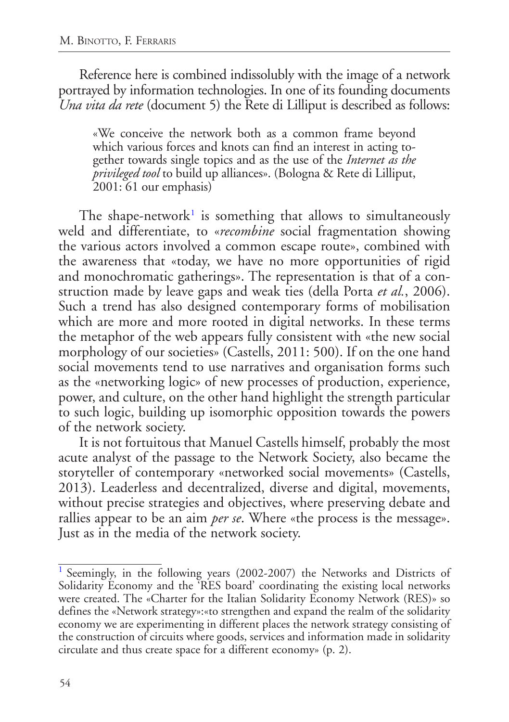Reference here is combined indissolubly with the image of a network portrayed by information technologies. In one of its founding documents *Una vita da rete* (document 5) the Rete di Lilliput is described as follows:

«We conceive the network both as a common frame beyond which various forces and knots can find an interest in acting together towards single topics and as the use of the *Internet as the privileged tool* to build up alliances». (Bologna & Rete di Lilliput, 2001: 61 our emphasis)

<span id="page-3-1"></span>The shape-network<sup>[1](#page-3-0)</sup> is something that allows to simultaneously weld and differentiate, to «*recombine* social fragmentation showing the various actors involved a common escape route», combined with the awareness that «today, we have no more opportunities of rigid and monochromatic gatherings». The representation is that of a construction made by leave gaps and weak ties (della Porta *et al.*, 2006). Such a trend has also designed contemporary forms of mobilisation which are more and more rooted in digital networks. In these terms the metaphor of the web appears fully consistent with «the new social morphology of our societies» (Castells, 2011: 500). If on the one hand social movements tend to use narratives and organisation forms such as the «networking logic» of new processes of production, experience, power, and culture, on the other hand highlight the strength particular to such logic, building up isomorphic opposition towards the powers of the network society.

It is not fortuitous that Manuel Castells himself, probably the most acute analyst of the passage to the Network Society, also became the storyteller of contemporary «networked social movements» (Castells, 2013). Leaderless and decentralized, diverse and digital, movements, without precise strategies and objectives, where preserving debate and rallies appear to be an aim *per se*. Where «the process is the message». Just as in the media of the network society.

<span id="page-3-0"></span><sup>&</sup>lt;sup>[1](#page-3-1)</sup> Seemingly, in the following years (2002-2007) the Networks and Districts of Solidarity Economy and the 'RES board' coordinating the existing local networks were created. The «Charter for the Italian Solidarity Economy Network (RES)» so defines the «Network strategy»:«to strengthen and expand the realm of the solidarity economy we are experimenting in different places the network strategy consisting of the construction of circuits where goods, services and information made in solidarity circulate and thus create space for a different economy» (p. 2).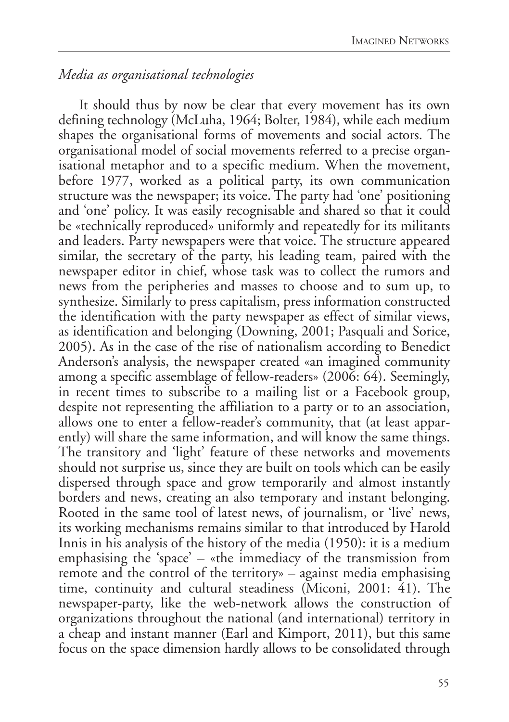## *Media as organisational technologies*

It should thus by now be clear that every movement has its own defining technology (McLuha, 1964; Bolter, 1984), while each medium shapes the organisational forms of movements and social actors. The organisational model of social movements referred to a precise organisational metaphor and to a specific medium. When the movement, before 1977, worked as a political party, its own communication structure was the newspaper; its voice. The party had 'one' positioning and 'one' policy. It was easily recognisable and shared so that it could be «technically reproduced» uniformly and repeatedly for its militants and leaders. Party newspapers were that voice. The structure appeared similar, the secretary of the party, his leading team, paired with the newspaper editor in chief, whose task was to collect the rumors and news from the peripheries and masses to choose and to sum up, to synthesize. Similarly to press capitalism, press information constructed the identification with the party newspaper as effect of similar views, as identification and belonging (Downing, 2001; Pasquali and Sorice, 2005). As in the case of the rise of nationalism according to Benedict Anderson's analysis, the newspaper created «an imagined community among a specific assemblage of fellow-readers» (2006: 64). Seemingly, in recent times to subscribe to a mailing list or a Facebook group, despite not representing the affiliation to a party or to an association, allows one to enter a fellow-reader's community, that (at least apparently) will share the same information, and will know the same things. The transitory and 'light' feature of these networks and movements should not surprise us, since they are built on tools which can be easily dispersed through space and grow temporarily and almost instantly borders and news, creating an also temporary and instant belonging. Rooted in the same tool of latest news, of journalism, or 'live' news, its working mechanisms remains similar to that introduced by Harold Innis in his analysis of the history of the media (1950): it is a medium emphasising the 'space' – «the immediacy of the transmission from remote and the control of the territory» – against media emphasising time, continuity and cultural steadiness (Miconi, 2001: 41). The newspaper-party, like the web-network allows the construction of organizations throughout the national (and international) territory in a cheap and instant manner (Earl and Kimport, 2011), but this same focus on the space dimension hardly allows to be consolidated through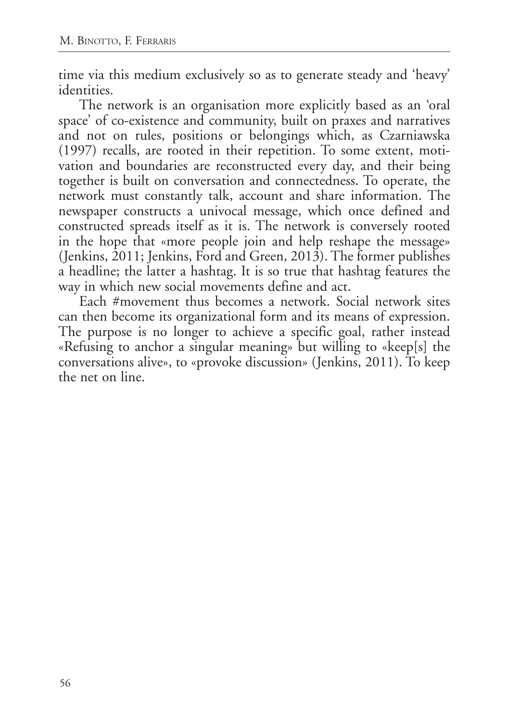time via this medium exclusively so as to generate steady and 'heavy' identities.

The network is an organisation more explicitly based as an 'oral space' of co-existence and community, built on praxes and narratives and not on rules, positions or belongings which, as Czarniawska (1997) recalls, are rooted in their repetition. To some extent, motivation and boundaries are reconstructed every day, and their being together is built on conversation and connectedness. To operate, the network must constantly talk, account and share information. The newspaper constructs a univocal message, which once defined and constructed spreads itself as it is. The network is conversely rooted in the hope that «more people join and help reshape the message» (Jenkins, 2011; Jenkins, Ford and Green, 2013). The former publishes a headline; the latter a hashtag. It is so true that hashtag features the way in which new social movements define and act.

Each #movement thus becomes a network. Social network sites can then become its organizational form and its means of expression. The purpose is no longer to achieve a specific goal, rather instead «Refusing to anchor a singular meaning» but willing to «keep[s] the conversations alive», to «provoke discussion» (Jenkins, 2011). To keep the net on line.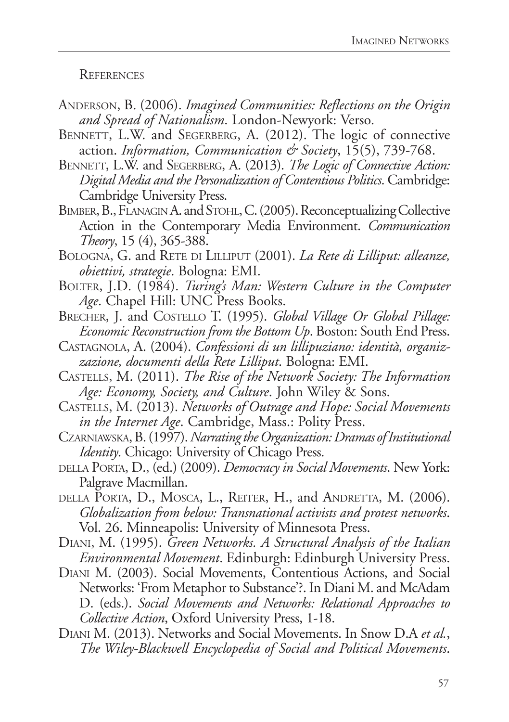**REFERENCES** 

- Anderson, B. (2006). *Imagined Communities: Reflections on the Origin and Spread of Nationalism*. London-Newyork: Verso.
- BENNETT, L.W. and SEGERBERG, A. (2012). The logic of connective action. *Information, Communication & Society*, 15(5), 739-768.
- BENNETT, L.W. and SEGERBERG, A. (2013). *The Logic of Connective Action*: *Digital Media and the Personalization of Contentious Politics*. Cambridge: Cambridge University Press.
- BIMBER, B., FLANAGIN A. and STOHL, C. (2005). Reconceptualizing Collective Action in the Contemporary Media Environment. *Communication Theory*, 15 (4), 365-388.
- BOLOGNA, G. and RETE DI LILLIPUT (2001). *La Rete di Lilliput: alleanze*, *obiettivi, strategie*. Bologna: EMI.
- BOLTER, J.D. (1984). *Turing's Man: Western Culture in the Computer Age*. Chapel Hill: UNC Press Books.
- Brecher, J. and Costello T. (1995). *Global Village Or Global Pillage: Economic Reconstruction from the Bottom Up*. Boston: South End Press.
- Castagnola, A. (2004). *Confessioni di un lillipuziano: identità, organizzazione, documenti della Rete Lilliput*. Bologna: EMI.
- Castells, M. (2011). *The Rise of the Network Society: The Information Age: Economy, Society, and Culture*. John Wiley & Sons.
- Castells, M. (2013). *Networks of Outrage and Hope: Social Movements in the Internet Age.* Cambridge, Mass.: Polity Press.
- Czarniawska, B. (1997). *Narrating the Organization: Dramas of Institutional Identity*. Chicago: University of Chicago Press.
- della Porta, D., (ed.) (2009). *Democracy in Social Movements*. New York: Palgrave Macmillan.
- della Porta, D., Mosca, L., Reiter, H., and Andretta, M. (2006). *Globalization from below: Transnational activists and protest networks*. Vol. 26. Minneapolis: University of Minnesota Press.
- Diani, M. (1995). *Green Networks. A Structural Analysis of the Italian Environmental Movement*. Edinburgh: Edinburgh University Press.
- Diani M. (2003). Social Movements, Contentious Actions, and Social Networks: 'From Metaphor to Substance'?. In Diani M. and McAdam D. (eds.). *Social Movements and Networks: Relational Approaches to Collective Action*, Oxford University Press, 1-18.
- Diani M. (2013). Networks and Social Movements. In Snow D.A *et al.*, *The Wiley-Blackwell Encyclopedia of Social and Political Movements*.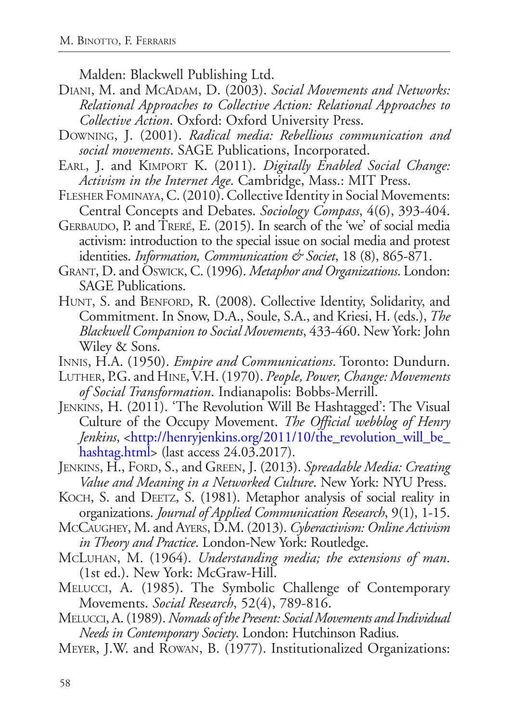Malden: Blackwell Publishing Ltd.

- DIANI, M. and McADAM, D. (2003). *Social Movements and Networks: Relational Approaches to Collective Action: Relational Approaches to Collective Action*. Oxford: Oxford University Press.
- Downing, J. (2001). *Radical media: Rebellious communication and social movements*. SAGE Publications, Incorporated.
- Earl, J. and Kimport K. (2011). *Digitally Enabled Social Change: Activism in the Internet Age*. Cambridge, Mass.: MIT Press.
- Flesher Fominaya, C. (2010). Collective Identity in Social Movements: Central Concepts and Debates. *Sociology Compass*, 4(6), 393-404.
- GERBAUDO, P. and TRERÉ, E. (2015). In search of the 'we' of social media activism: introduction to the special issue on social media and protest identities. *Information, Communication & Societ*, 18 (8), 865-871.
- Grant, D. and Oswick, C. (1996). *Metaphor and Organizations*. London: SAGE Publications.
- HUNT, S. and BENFORD, R. (2008). Collective Identity, Solidarity, and Commitment. In Snow, D.A., Soule, S.A., and Kriesi, H. (eds.), *The Blackwell Companion to Social Movements*, 433-460. New York: John Wiley & Sons.
- Innis, H.A. (1950). *Empire and Communications*. Toronto: Dundurn.
- Luther, P.G. and Hine, V.H. (1970). *People, Power, Change: Movements of Social Transformation*. Indianapolis: Bobbs-Merrill.
- Jenkins, H. (2011). 'The Revolution Will Be Hashtagged': The Visual Culture of the Occupy Movement. *The Official webblog of Henry Jenkins*, <[http://henryjenkins.org/2011/10/the\\_revolution\\_will\\_be\\_](http://henryjenkins.org/2011/10/the_revolution_will_be_hashtag.html) [hashtag.html>](http://henryjenkins.org/2011/10/the_revolution_will_be_hashtag.html) (last access 24.03.2017).
- JENKINS, H., FORD, S., and GREEN, J. (2013). *Spreadable Media: Creating Value and Meaning in a Networked Culture*. New York: NYU Press.
- KOCH, S. and DEETZ, S. (1981). Metaphor analysis of social reality in organizations. *Journal of Applied Communication Research*, 9(1), 1-15.
- McCaughey, M. and Ayers, D.M. (2013). *Cyberactivism: Online Activism in Theory and Practice*. London-New York: Routledge.
- McLuhan, M. (1964). *Understanding media; the extensions of man*. (1st ed.). New York: McGraw-Hill.
- Melucci, A. (1985). The Symbolic Challenge of Contemporary Movements. *Social Research*, 52(4), 789-816.
- Melucci, A. (1989). *Nomads of the Present: Social Movements and Individual Needs in Contemporary Society*. London: Hutchinson Radius.
- Meyer, J.W. and Rowan, B. (1977). Institutionalized Organizations: